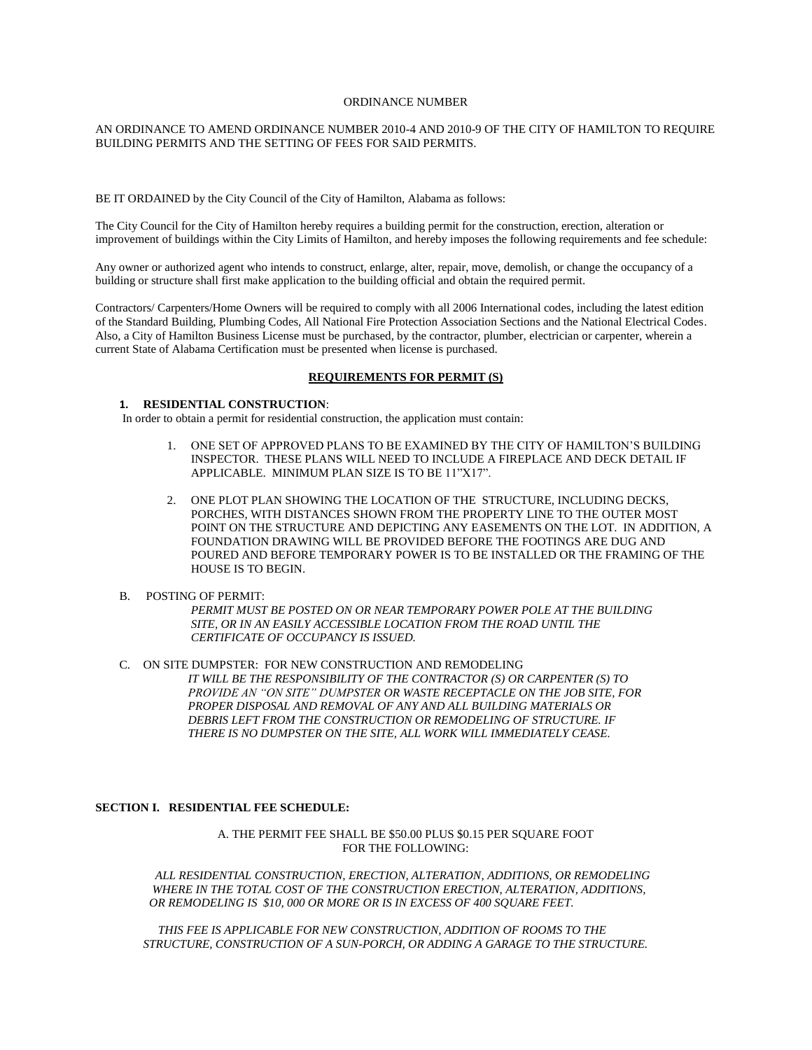#### ORDINANCE NUMBER

# AN ORDINANCE TO AMEND ORDINANCE NUMBER 2010-4 AND 2010-9 OF THE CITY OF HAMILTON TO REQUIRE BUILDING PERMITS AND THE SETTING OF FEES FOR SAID PERMITS.

BE IT ORDAINED by the City Council of the City of Hamilton, Alabama as follows:

The City Council for the City of Hamilton hereby requires a building permit for the construction, erection, alteration or improvement of buildings within the City Limits of Hamilton, and hereby imposes the following requirements and fee schedule:

Any owner or authorized agent who intends to construct, enlarge, alter, repair, move, demolish, or change the occupancy of a building or structure shall first make application to the building official and obtain the required permit.

Contractors/ Carpenters/Home Owners will be required to comply with all 2006 International codes, including the latest edition of the Standard Building, Plumbing Codes, All National Fire Protection Association Sections and the National Electrical Codes. Also, a City of Hamilton Business License must be purchased, by the contractor, plumber, electrician or carpenter, wherein a current State of Alabama Certification must be presented when license is purchased.

# **REQUIREMENTS FOR PERMIT (S)**

# **1. RESIDENTIAL CONSTRUCTION**:

In order to obtain a permit for residential construction, the application must contain:

- 1. ONE SET OF APPROVED PLANS TO BE EXAMINED BY THE CITY OF HAMILTON'S BUILDING INSPECTOR. THESE PLANS WILL NEED TO INCLUDE A FIREPLACE AND DECK DETAIL IF APPLICABLE. MINIMUM PLAN SIZE IS TO BE 11"X17".
- 2. ONE PLOT PLAN SHOWING THE LOCATION OF THE STRUCTURE, INCLUDING DECKS, PORCHES, WITH DISTANCES SHOWN FROM THE PROPERTY LINE TO THE OUTER MOST POINT ON THE STRUCTURE AND DEPICTING ANY EASEMENTS ON THE LOT. IN ADDITION, A FOUNDATION DRAWING WILL BE PROVIDED BEFORE THE FOOTINGS ARE DUG AND POURED AND BEFORE TEMPORARY POWER IS TO BE INSTALLED OR THE FRAMING OF THE HOUSE IS TO BEGIN.
- B. POSTING OF PERMIT:

*PERMIT MUST BE POSTED ON OR NEAR TEMPORARY POWER POLE AT THE BUILDING SITE, OR IN AN EASILY ACCESSIBLE LOCATION FROM THE ROAD UNTIL THE CERTIFICATE OF OCCUPANCY IS ISSUED.*

C. ON SITE DUMPSTER: FOR NEW CONSTRUCTION AND REMODELING  *IT WILL BE THE RESPONSIBILITY OF THE CONTRACTOR (S) OR CARPENTER (S) TO PROVIDE AN "ON SITE" DUMPSTER OR WASTE RECEPTACLE ON THE JOB SITE, FOR PROPER DISPOSAL AND REMOVAL OF ANY AND ALL BUILDING MATERIALS OR DEBRIS LEFT FROM THE CONSTRUCTION OR REMODELING OF STRUCTURE. IF THERE IS NO DUMPSTER ON THE SITE, ALL WORK WILL IMMEDIATELY CEASE.*

# **SECTION I. RESIDENTIAL FEE SCHEDULE:**

A. THE PERMIT FEE SHALL BE \$50.00 PLUS \$0.15 PER SOUARE FOOT FOR THE FOLLOWING:

 *ALL RESIDENTIAL CONSTRUCTION, ERECTION, ALTERATION, ADDITIONS, OR REMODELING WHERE IN THE TOTAL COST OF THE CONSTRUCTION ERECTION, ALTERATION, ADDITIONS, OR REMODELING IS \$10, 000 OR MORE OR IS IN EXCESS OF 400 SQUARE FEET.*

 *THIS FEE IS APPLICABLE FOR NEW CONSTRUCTION, ADDITION OF ROOMS TO THE STRUCTURE, CONSTRUCTION OF A SUN-PORCH, OR ADDING A GARAGE TO THE STRUCTURE.*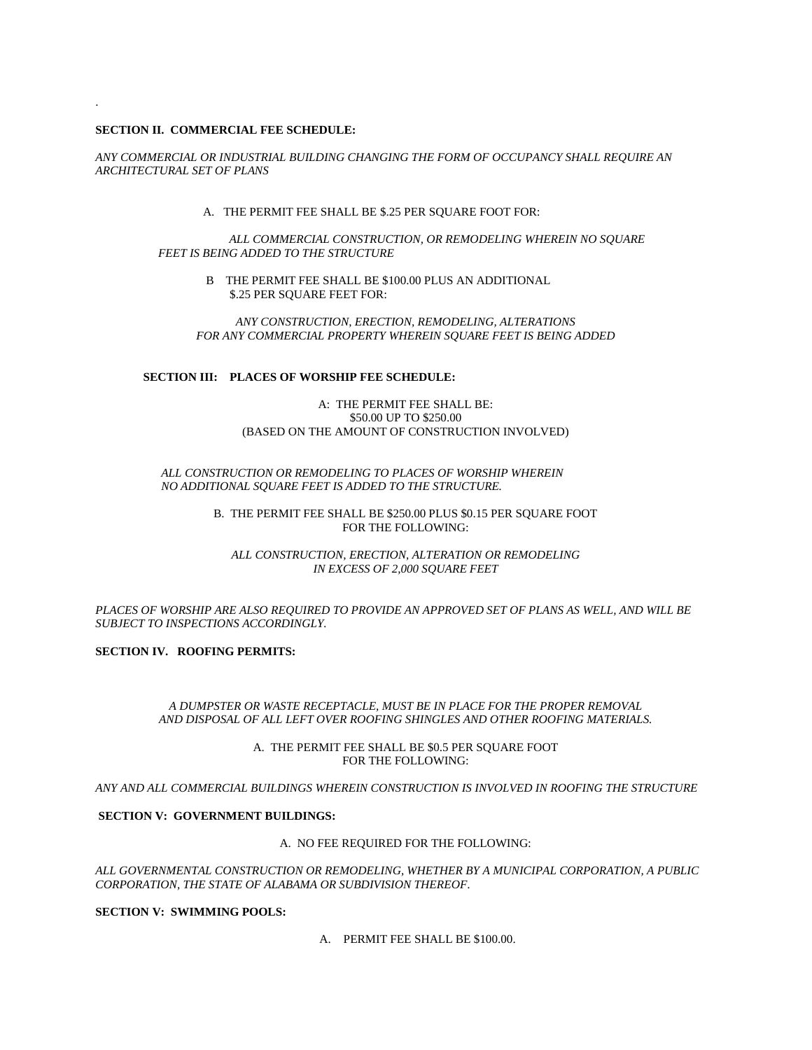# **SECTION II. COMMERCIAL FEE SCHEDULE:**

.

*ANY COMMERCIAL OR INDUSTRIAL BUILDING CHANGING THE FORM OF OCCUPANCY SHALL REQUIRE AN ARCHITECTURAL SET OF PLANS*

A. THE PERMIT FEE SHALL BE \$.25 PER SQUARE FOOT FOR:

 *ALL COMMERCIAL CONSTRUCTION, OR REMODELING WHEREIN NO SQUARE FEET IS BEING ADDED TO THE STRUCTURE*

> B THE PERMIT FEE SHALL BE \$100.00 PLUS AN ADDITIONAL \$.25 PER SQUARE FEET FOR:

*ANY CONSTRUCTION, ERECTION, REMODELING, ALTERATIONS FOR ANY COMMERCIAL PROPERTY WHEREIN SQUARE FEET IS BEING ADDED*

# **SECTION III: PLACES OF WORSHIP FEE SCHEDULE:**

# A: THE PERMIT FEE SHALL BE: \$50.00 UP TO \$250.00 (BASED ON THE AMOUNT OF CONSTRUCTION INVOLVED)

# *ALL CONSTRUCTION OR REMODELING TO PLACES OF WORSHIP WHEREIN NO ADDITIONAL SQUARE FEET IS ADDED TO THE STRUCTURE.*

#### B. THE PERMIT FEE SHALL BE \$250.00 PLUS \$0.15 PER SQUARE FOOT FOR THE FOLLOWING:

*ALL CONSTRUCTION, ERECTION, ALTERATION OR REMODELING IN EXCESS OF 2,000 SQUARE FEET*

*PLACES OF WORSHIP ARE ALSO REQUIRED TO PROVIDE AN APPROVED SET OF PLANS AS WELL, AND WILL BE SUBJECT TO INSPECTIONS ACCORDINGLY.*

**SECTION IV. ROOFING PERMITS:**

*A DUMPSTER OR WASTE RECEPTACLE, MUST BE IN PLACE FOR THE PROPER REMOVAL AND DISPOSAL OF ALL LEFT OVER ROOFING SHINGLES AND OTHER ROOFING MATERIALS.*

> A. THE PERMIT FEE SHALL BE \$0.5 PER SQUARE FOOT FOR THE FOLLOWING:

*ANY AND ALL COMMERCIAL BUILDINGS WHEREIN CONSTRUCTION IS INVOLVED IN ROOFING THE STRUCTURE*

# **SECTION V: GOVERNMENT BUILDINGS:**

#### A. NO FEE REQUIRED FOR THE FOLLOWING:

*ALL GOVERNMENTAL CONSTRUCTION OR REMODELING, WHETHER BY A MUNICIPAL CORPORATION, A PUBLIC CORPORATION, THE STATE OF ALABAMA OR SUBDIVISION THEREOF.*

**SECTION V: SWIMMING POOLS:**

A. PERMIT FEE SHALL BE \$100.00.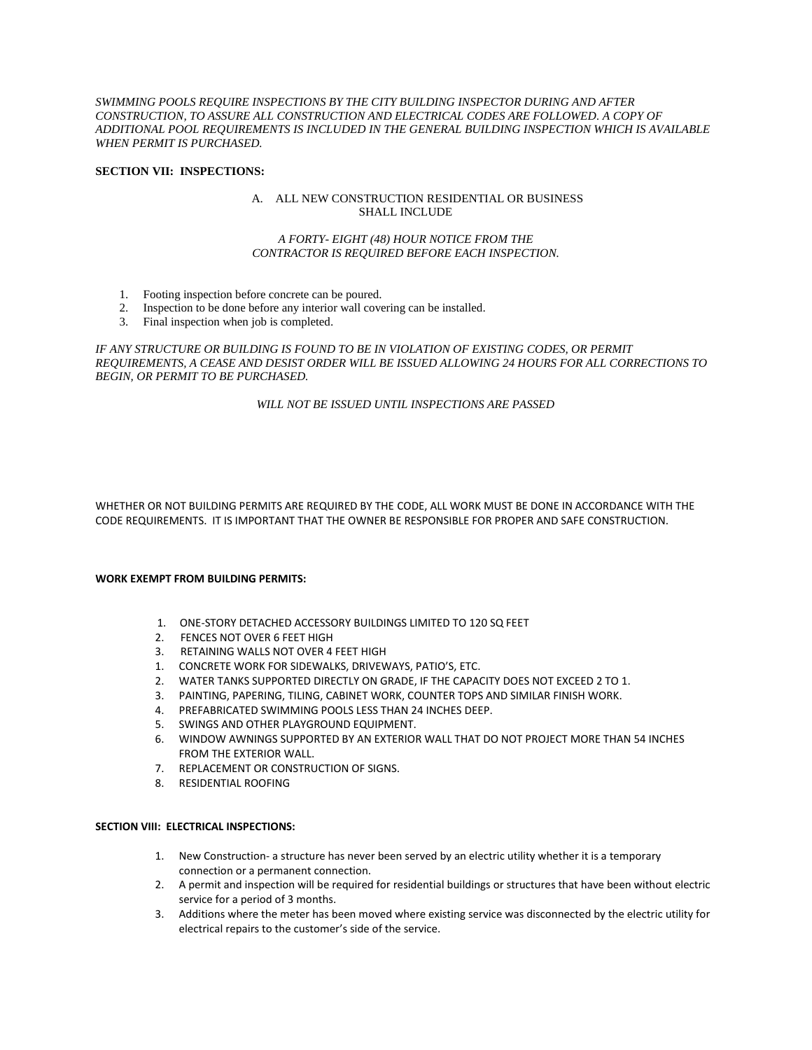*SWIMMING POOLS REQUIRE INSPECTIONS BY THE CITY BUILDING INSPECTOR DURING AND AFTER CONSTRUCTION, TO ASSURE ALL CONSTRUCTION AND ELECTRICAL CODES ARE FOLLOWED. A COPY OF ADDITIONAL POOL REQUIREMENTS IS INCLUDED IN THE GENERAL BUILDING INSPECTION WHICH IS AVAILABLE WHEN PERMIT IS PURCHASED.* 

### **SECTION VII: INSPECTIONS:**

# A. ALL NEW CONSTRUCTION RESIDENTIAL OR BUSINESS SHALL INCLUDE

# *A FORTY- EIGHT (48) HOUR NOTICE FROM THE CONTRACTOR IS REQUIRED BEFORE EACH INSPECTION.*

- 1. Footing inspection before concrete can be poured.
- 2. Inspection to be done before any interior wall covering can be installed.
- 3. Final inspection when job is completed.

*IF ANY STRUCTURE OR BUILDING IS FOUND TO BE IN VIOLATION OF EXISTING CODES, OR PERMIT REQUIREMENTS, A CEASE AND DESIST ORDER WILL BE ISSUED ALLOWING 24 HOURS FOR ALL CORRECTIONS TO BEGIN, OR PERMIT TO BE PURCHASED.*

# *WILL NOT BE ISSUED UNTIL INSPECTIONS ARE PASSED*

WHETHER OR NOT BUILDING PERMITS ARE REQUIRED BY THE CODE, ALL WORK MUST BE DONE IN ACCORDANCE WITH THE CODE REQUIREMENTS. IT IS IMPORTANT THAT THE OWNER BE RESPONSIBLE FOR PROPER AND SAFE CONSTRUCTION.

# **WORK EXEMPT FROM BUILDING PERMITS:**

- 1. ONE-STORY DETACHED ACCESSORY BUILDINGS LIMITED TO 120 SQ FEET
- 2. FENCES NOT OVER 6 FEET HIGH
- 3. RETAINING WALLS NOT OVER 4 FEET HIGH
- 1. CONCRETE WORK FOR SIDEWALKS, DRIVEWAYS, PATIO'S, ETC.
- 2. WATER TANKS SUPPORTED DIRECTLY ON GRADE, IF THE CAPACITY DOES NOT EXCEED 2 TO 1.
- 3. PAINTING, PAPERING, TILING, CABINET WORK, COUNTER TOPS AND SIMILAR FINISH WORK.
- 4. PREFABRICATED SWIMMING POOLS LESS THAN 24 INCHES DEEP.
- 5. SWINGS AND OTHER PLAYGROUND EQUIPMENT.
- 6. WINDOW AWNINGS SUPPORTED BY AN EXTERIOR WALL THAT DO NOT PROJECT MORE THAN 54 INCHES FROM THE EXTERIOR WALL.
- 7. REPLACEMENT OR CONSTRUCTION OF SIGNS.
- 8. RESIDENTIAL ROOFING

# **SECTION VIII: ELECTRICAL INSPECTIONS:**

- 1. New Construction- a structure has never been served by an electric utility whether it is a temporary connection or a permanent connection.
- 2. A permit and inspection will be required for residential buildings or structures that have been without electric service for a period of 3 months.
- 3. Additions where the meter has been moved where existing service was disconnected by the electric utility for electrical repairs to the customer's side of the service.